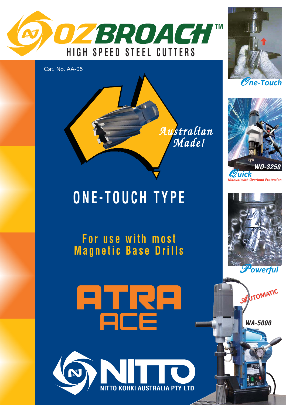

Cat. No. AA-05



# **ONE-TOUCH TYPE**

For use with most<br>Magnetic Base Drills

**ATRA**<br>ACE











**WA-5000**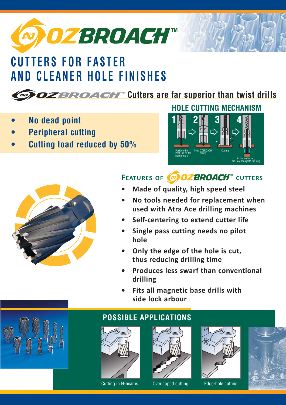

# **CUTTERS FOR FASTER AND CLEANER HOLE FINISHES**

## **TM Cutters are far superior than twist drills**

- **No dead point**
- **Peripheral cutting**
- **Cutting load reduced by 50%**

## **HOLE CUTTING MECHANISM**





## FEATURES OF **CUTTERS**

- **Made of quality, high speed steel**
- **No tools needed for replacement when used with Atra Ace drilling machines**
- **Self-centering to extend cutter life**
- **Single pass cutting needs no pilot hole**
- **Only the edge of the hole is cut, thus reducing drilling time**
- **Produces less swarf than conventional drilling**
- **Fits all magnetic base drills with side lock arbour**



### **POSSIBLE APPLICATIONS**



Cutting in H-beams Overlapped cutting Edge-hole cutting





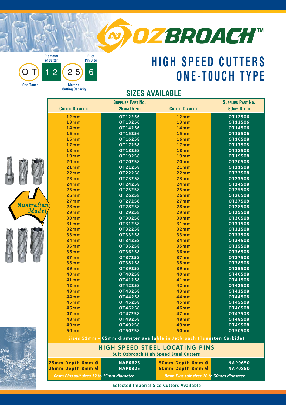

**SIZES AVAILABLE**



## **HIGH SPEED CUTTERS ONE-T0UCH TYPE**

|            |                                                                      | VILLU AVAILADLL          |                                         |                          |  |
|------------|----------------------------------------------------------------------|--------------------------|-----------------------------------------|--------------------------|--|
|            |                                                                      | <b>SUPPLIER PART NO.</b> |                                         | <b>SUPPLIER PART NO.</b> |  |
|            | <b>CUTTER DIAMETER</b>                                               | 25мм DEPTH               | <b>CUTTER DIAMETER</b>                  | <b>50MM DEPTH</b>        |  |
|            | 12mm                                                                 | OT12256                  | 12mm                                    | OT12506                  |  |
|            | 13mm                                                                 | OT13256                  | 13mm                                    | OT13506                  |  |
|            | 14mm                                                                 | OT14256                  | 14mm                                    | OT14506                  |  |
|            | 15mm                                                                 | OT15256                  | 15mm                                    | OT15506                  |  |
|            | 16mm                                                                 | OT16258                  | 16mm                                    | OT16508                  |  |
|            | 17mm                                                                 | OT17258                  | 17mm                                    | OT17508                  |  |
|            | 18mm                                                                 | OT18258                  | 18mm                                    | OT18508                  |  |
|            | 19mm                                                                 | OT19258                  | 19mm                                    | OT19508                  |  |
|            | 20mm                                                                 | OT20258                  | 20mm                                    | <b>OT20508</b>           |  |
|            | 21mm                                                                 | OT21258                  | 21mm                                    | OT21508                  |  |
|            | 22mm                                                                 | OT22258                  | 22mm                                    | <b>OT22508</b>           |  |
|            | 23mm                                                                 | OT23258                  | 23mm                                    | <b>OT23508</b>           |  |
|            | 24mm                                                                 | OT24258                  | 24mm                                    | OT24508                  |  |
|            | 25mm                                                                 | OT25258                  | 25mm                                    | OT25508                  |  |
|            | 26mm                                                                 | OT26258                  | 26mm                                    | OT26508                  |  |
|            | 27mm                                                                 | OT27258                  | 27mm                                    | <b>OT27508</b>           |  |
| Australian | 28mm                                                                 | OT28258                  | 28mm                                    | <b>OT28508</b>           |  |
| Made!      | 29mm                                                                 | OT29258                  | 29mm                                    | OT29508                  |  |
|            | 30mm                                                                 | OT30258                  | 30mm                                    | OT30508                  |  |
|            | 31mm                                                                 | OT31258                  | 31mm                                    | OT31508                  |  |
|            | 32mm                                                                 | OT32258                  | 32mm                                    | OT32508                  |  |
|            | 33mm                                                                 | OT33258                  | 33mm                                    | OT33508                  |  |
|            | 34mm                                                                 | OT34258                  | 34mm                                    | OT34508                  |  |
|            | 35mm                                                                 | OT35258                  | 35mm                                    | OT35508                  |  |
|            | <b>36mm</b>                                                          | OT36258                  | 36mm                                    | OT36508                  |  |
|            | 37mm                                                                 | OT37258                  | 37mm                                    | <b>OT37508</b>           |  |
|            | 38mm                                                                 | OT38258                  | 38mm                                    | OT38508                  |  |
|            | 39mm                                                                 | OT39258                  | 39mm                                    | OT39508                  |  |
|            | 40mm                                                                 | OT40258                  | <b>40mm</b>                             | OT40508                  |  |
|            | 41mm                                                                 | OT41258                  | 41mm                                    | OT41508                  |  |
|            | 42mm                                                                 | OT42258                  | 42mm                                    | <b>OT42508</b>           |  |
|            | 43mm                                                                 | OT43258                  | 43mm                                    | OT43508                  |  |
|            | 44 <sub>m</sub>                                                      | OT44258                  | 44mm                                    | OT44508                  |  |
|            | 45mm                                                                 | OT45258                  | 45mm                                    | OT45508                  |  |
|            | <b>46mm</b>                                                          | OT46258                  | <b>46mm</b>                             | OT46508                  |  |
|            | 47mm                                                                 | OT47258                  | 47mm                                    | OT47508                  |  |
|            | 48mm                                                                 | OT48258                  | 48mm                                    | OT48508                  |  |
|            | 49mm                                                                 | OT49258                  | 49mm                                    | OT49508                  |  |
|            | 50mm                                                                 | OT50258                  | 50mm                                    | <b>OT50508</b>           |  |
|            | Sizes 51mm - 65mm diameter available in Jetbroach (Tungsten Carbide) |                          |                                         |                          |  |
|            | HIGH SPEED STEEL LOCATING PINS                                       |                          |                                         |                          |  |
|            | <b>Suit Ozbroach High Speed Steel Cutters</b>                        |                          |                                         |                          |  |
|            |                                                                      |                          |                                         |                          |  |
|            | 25mm Depth 6mm Ø                                                     | <b>NAP0625</b>           | 50mm Depth 6mm Ø                        | <b>NAP0650</b>           |  |
|            | 25mm Depth 8mm Ø                                                     | <b>NAP0825</b>           | 50mm Depth 8mm Ø                        | <b>NAP0850</b>           |  |
|            | 6mm Pins suit sizes 12 to 15mm diameter                              |                          | 8mm Pins suit sizes 16 to 50mm diameter |                          |  |

**Selected Imperial Size Cutters Available**